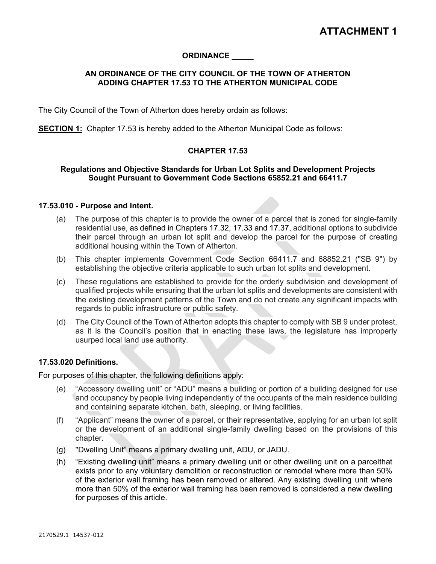# **ORDINANCE \_\_\_\_\_**

## **AN ORDINANCE OF THE CITY COUNCIL OF THE TOWN OF ATHERTON ADDING CHAPTER 17.53 TO THE ATHERTON MUNICIPAL CODE**

The City Council of the Town of Atherton does hereby ordain as follows:

**SECTION 1:** Chapter 17.53 is hereby added to the Atherton Municipal Code as follows:

### **CHAPTER 17.53**

## **Regulations and Objective Standards for Urban Lot Splits and Development Projects Sought Pursuant to Government Code Sections 65852.21 and 66411.7**

#### **17.53.010 - [Purpose](http://qcode.us/codes/sunnyvale/view.php?topic=19-5-19_76-19_76_010&frames=on) and Intent.**

- (a) The purpose of this chapter is to provide the owner of a parcel that is zoned for single-family residential use, as defined in Chapters 17.32, 17.33 and 17.37, additional options to subdivide their parcel through an urban lot split and develop the parcel for the purpose of creating additional housing within the Town of Atherton.
- (b) This chapter implements Government Code Section 66411.7 and 68852.21 ("SB 9") by establishing the objective criteria applicable to such urban lot splits and development.
- (c) These regulations are established to provide for the orderly subdivision and development of qualified projects while ensuring that the urban lot splits and developments are consistent with the existing development patterns of the Town and do not create any significant impacts with regards to public infrastructure or public safety.
- (d) The City Council of the Town of Atherton adopts this chapter to comply with SB 9 under protest, as it is the Council's position that in enacting these laws, the legislature has improperly usurped local land use authority.

### **17.53.020 Definitions.**

For purposes of this chapter, the following definitions apply:

- (e) "Accessory dwelling unit" or "ADU" means a building or portion of a building designed for use and occupancy by people living independently of the occupants of the main residence building and containing separate kitchen, bath, sleeping, or living facilities.
- (f) "Applicant" means the owner of a parcel, or their representative, applying for an urban lot split or the development of an additional single-family dwelling based on the provisions of this chapter.
- (g) "Dwelling Unit" means a primary dwelling unit, ADU, or JADU.
- (h) "Existing dwelling unit" means a primary dwelling unit or other dwelling unit on a parcelthat exists prior to any voluntary demolition or reconstruction or remodel where more than 50% of the exterior wall framing has been removed or altered. Any existing dwelling unit where more than 50% of the exterior wall framing has been removed is considered a new dwelling for purposes of this article.